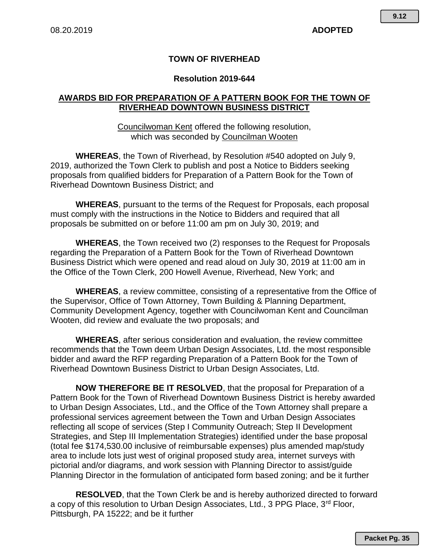## **TOWN OF RIVERHEAD**

## **Resolution 2019-644**

## **AWARDS BID FOR PREPARATION OF A PATTERN BOOK FOR THE TOWN OF RIVERHEAD DOWNTOWN BUSINESS DISTRICT**

Councilwoman Kent offered the following resolution, which was seconded by Councilman Wooten

**WHEREAS**, the Town of Riverhead, by Resolution #540 adopted on July 9, 2019, authorized the Town Clerk to publish and post a Notice to Bidders seeking proposals from qualified bidders for Preparation of a Pattern Book for the Town of Riverhead Downtown Business District; and

**WHEREAS**, pursuant to the terms of the Request for Proposals, each proposal must comply with the instructions in the Notice to Bidders and required that all proposals be submitted on or before 11:00 am pm on July 30, 2019; and

**WHEREAS**, the Town received two (2) responses to the Request for Proposals regarding the Preparation of a Pattern Book for the Town of Riverhead Downtown Business District which were opened and read aloud on July 30, 2019 at 11:00 am in the Office of the Town Clerk, 200 Howell Avenue, Riverhead, New York; and

**WHEREAS**, a review committee, consisting of a representative from the Office of the Supervisor, Office of Town Attorney, Town Building & Planning Department, Community Development Agency, together with Councilwoman Kent and Councilman Wooten, did review and evaluate the two proposals; and

**WHEREAS**, after serious consideration and evaluation, the review committee recommends that the Town deem Urban Design Associates, Ltd. the most responsible bidder and award the RFP regarding Preparation of a Pattern Book for the Town of Riverhead Downtown Business District to Urban Design Associates, Ltd.

**NOW THEREFORE BE IT RESOLVED**, that the proposal for Preparation of a Pattern Book for the Town of Riverhead Downtown Business District is hereby awarded to Urban Design Associates, Ltd., and the Office of the Town Attorney shall prepare a professional services agreement between the Town and Urban Design Associates reflecting all scope of services (Step I Community Outreach; Step II Development Strategies, and Step III Implementation Strategies) identified under the base proposal (total fee \$174,530.00 inclusive of reimbursable expenses) plus amended map/study area to include lots just west of original proposed study area, internet surveys with pictorial and/or diagrams, and work session with Planning Director to assist/guide Planning Director in the formulation of anticipated form based zoning; and be it further

**RESOLVED**, that the Town Clerk be and is hereby authorized directed to forward a copy of this resolution to Urban Design Associates, Ltd., 3 PPG Place, 3<sup>rd</sup> Floor, Pittsburgh, PA 15222; and be it further